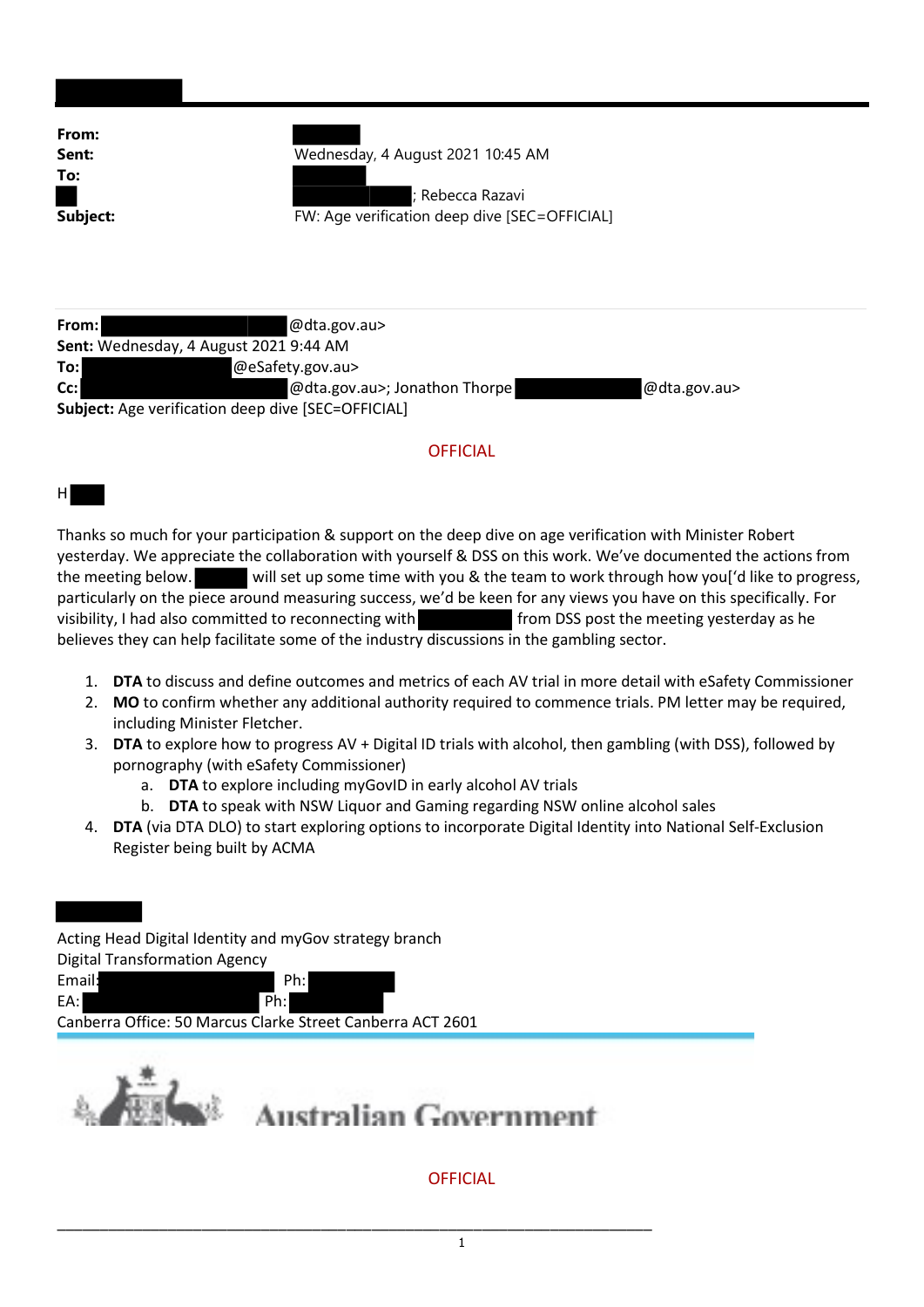| From:    |                                               |  |
|----------|-----------------------------------------------|--|
| Sent:    | Wednesday, 4 August 2021 10:45 AM             |  |
| To:      |                                               |  |
|          | ; Rebecca Razavi                              |  |
| Subject: | FW: Age verification deep dive [SEC=OFFICIAL] |  |
|          |                                               |  |
|          |                                               |  |

| From:                                                     | $@$ dta.gov.au>               |              |
|-----------------------------------------------------------|-------------------------------|--------------|
| Sent: Wednesday, 4 August 2021 9:44 AM                    |                               |              |
| To:l                                                      | @eSafety.gov.au>              |              |
| $Cc$ :                                                    | @dta.gov.au>; Jonathon Thorpe | @dta.gov.au> |
| <b>Subject:</b> Age verification deep dive [SEC=OFFICIAL] |                               |              |

## **OFFICIAL**

## H

Thanks so much for your participation & support on the deep dive on age verification with Minister Robert yesterday. We appreciate the collaboration with yourself & DSS on this work. We've documented the actions from the meeting below. will set up some time with you & the team to work through how you['d like to progress, particularly on the piece around measuring success, we'd be keen for any views you have on this specifically. For visibility, I had also committed to reconnecting with from DSS post the meeting yesterday as he believes they can help facilitate some of the industry discussions in the gambling sector.

- 1. DTA to discuss and define outcomes and metrics of each AV trial in more detail with eSafety Commissioner
- 2. MO to confirm whether any additional authority required to commence trials. PM letter may be required, including Minister Fletcher.
- 3. DTA to explore how to progress AV + Digital ID trials with alcohol, then gambling (with DSS), followed by pornography (with eSafety Commissioner)
	- a. DTA to explore including myGovID in early alcohol AV trials

\_\_\_\_\_\_\_\_\_\_\_\_\_\_\_\_\_\_\_\_\_\_\_\_\_\_\_\_\_\_\_\_\_\_\_\_\_\_\_\_\_\_\_\_\_\_\_\_\_\_\_\_\_\_\_\_\_\_\_\_\_\_\_\_\_\_\_\_\_\_

- b. DTA to speak with NSW Liquor and Gaming regarding NSW online alcohol sales
- 4. DTA (via DTA DLO) to start exploring options to incorporate Digital Identity into National Self-Exclusion Register being built by ACMA

Acting Head Digital Identity and myGov strategy branch Digital Transformation Agency Email: Ph: EA: Ph: Canberra Office: 50 Marcus Clarke Street Canberra ACT 2601



## **Australian Government**

## **OFFICIAL**